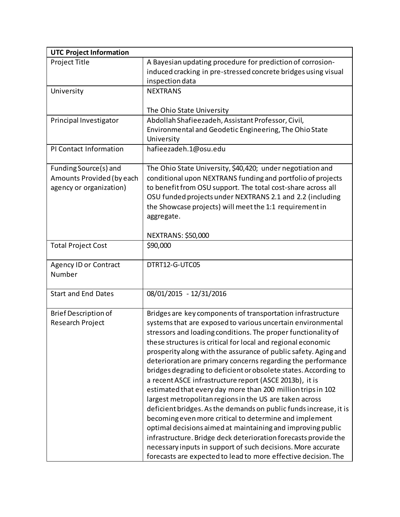| <b>UTC Project Information</b>                                                |                                                                                                                                                                                                                                                                                                                                                                                                                                                                                                                                                                                                                                                                                                                                                                                                                                                                                                                                                                                                                                                           |
|-------------------------------------------------------------------------------|-----------------------------------------------------------------------------------------------------------------------------------------------------------------------------------------------------------------------------------------------------------------------------------------------------------------------------------------------------------------------------------------------------------------------------------------------------------------------------------------------------------------------------------------------------------------------------------------------------------------------------------------------------------------------------------------------------------------------------------------------------------------------------------------------------------------------------------------------------------------------------------------------------------------------------------------------------------------------------------------------------------------------------------------------------------|
| Project Title                                                                 | A Bayesian updating procedure for prediction of corrosion-<br>induced cracking in pre-stressed concrete bridges using visual<br>inspection data                                                                                                                                                                                                                                                                                                                                                                                                                                                                                                                                                                                                                                                                                                                                                                                                                                                                                                           |
| University                                                                    | <b>NEXTRANS</b><br>The Ohio State University                                                                                                                                                                                                                                                                                                                                                                                                                                                                                                                                                                                                                                                                                                                                                                                                                                                                                                                                                                                                              |
| Principal Investigator                                                        | Abdollah Shafieezadeh, Assistant Professor, Civil,<br>Environmental and Geodetic Engineering, The Ohio State<br>University                                                                                                                                                                                                                                                                                                                                                                                                                                                                                                                                                                                                                                                                                                                                                                                                                                                                                                                                |
| PI Contact Information                                                        | hafieezadeh.1@osu.edu                                                                                                                                                                                                                                                                                                                                                                                                                                                                                                                                                                                                                                                                                                                                                                                                                                                                                                                                                                                                                                     |
| Funding Source(s) and<br>Amounts Provided (by each<br>agency or organization) | The Ohio State University, \$40,420; under negotiation and<br>conditional upon NEXTRANS funding and portfolio of projects<br>to benefit from OSU support. The total cost-share across all<br>OSU funded projects under NEXTRANS 2.1 and 2.2 (including<br>the Showcase projects) will meet the 1:1 requirement in<br>aggregate.                                                                                                                                                                                                                                                                                                                                                                                                                                                                                                                                                                                                                                                                                                                           |
|                                                                               | <b>NEXTRANS: \$50,000</b>                                                                                                                                                                                                                                                                                                                                                                                                                                                                                                                                                                                                                                                                                                                                                                                                                                                                                                                                                                                                                                 |
| <b>Total Project Cost</b>                                                     | \$90,000                                                                                                                                                                                                                                                                                                                                                                                                                                                                                                                                                                                                                                                                                                                                                                                                                                                                                                                                                                                                                                                  |
| <b>Agency ID or Contract</b><br>Number                                        | DTRT12-G-UTC05                                                                                                                                                                                                                                                                                                                                                                                                                                                                                                                                                                                                                                                                                                                                                                                                                                                                                                                                                                                                                                            |
| <b>Start and End Dates</b>                                                    | 08/01/2015 - 12/31/2016                                                                                                                                                                                                                                                                                                                                                                                                                                                                                                                                                                                                                                                                                                                                                                                                                                                                                                                                                                                                                                   |
| <b>Brief Description of</b><br>Research Project                               | Bridges are key components of transportation infrastructure<br>systems that are exposed to various uncertain environmental<br>stressors and loading conditions. The proper functionality of<br>these structures is critical for local and regional economic<br>prosperity along with the assurance of public safety. Aging and<br>deterioration are primary concerns regarding the performance<br>bridges degrading to deficient or obsolete states. According to<br>a recent ASCE infrastructure report (ASCE 2013b), it is<br>estimated that every day more than 200 million trips in 102<br>largest metropolitan regions in the US are taken across<br>deficient bridges. As the demands on public funds increase, it is<br>becoming even more critical to determine and implement<br>optimal decisions aimed at maintaining and improving public<br>infrastructure. Bridge deck deterioration forecasts provide the<br>necessary inputs in support of such decisions. More accurate<br>forecasts are expected to lead to more effective decision. The |